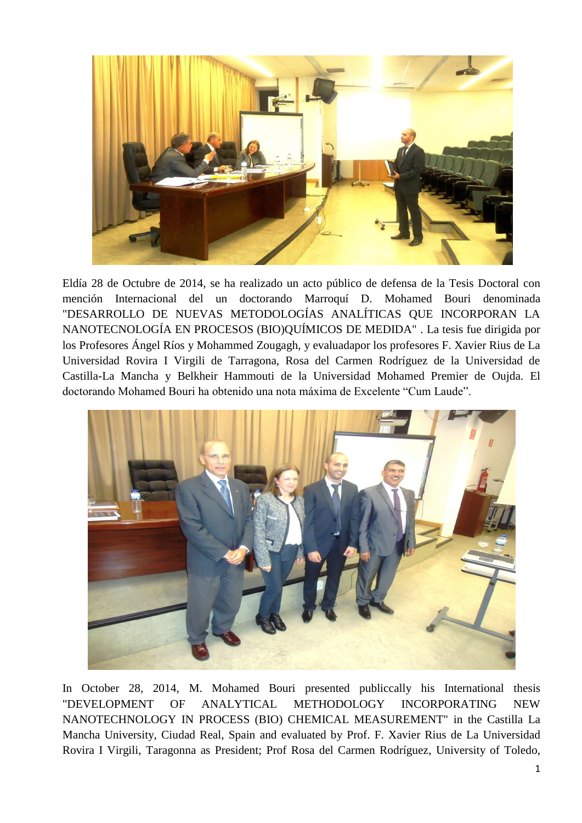

Eldía 28 de Octubre de 2014, se ha realizado un acto público de defensa de la Tesis Doctoral con mención Internacional del un doctorando Marroquí D. Mohamed Bouri denominada "DESARROLLO DE NUEVAS METODOLOGÍAS ANALÍTICAS QUE INCORPORAN LA NANOTECNOLOGÍA EN PROCESOS (BIO)QUÍMICOS DE MEDIDA" . La tesis fue dirigida por los Profesores Ángel Ríos y Mohammed Zougagh, y evaluadapor los profesores F. Xavier Rius de La Universidad Rovira I Virgili de Tarragona, Rosa del Carmen Rodríguez de la Universidad de Castilla-La Mancha y Belkheir Hammouti de la Universidad Mohamed Premier de Oujda. El doctorando Mohamed Bouri ha obtenido una nota máxima de Excelente "Cum Laude".



In October 28, 2014, M. Mohamed Bouri presented publiccally his International thesis "DEVELOPMENT OF ANALYTICAL METHODOLOGY INCORPORATING NEW NANOTECHNOLOGY IN PROCESS (BIO) CHEMICAL MEASUREMENT" in the Castilla La Mancha University, Ciudad Real, Spain and evaluated by Prof. F. Xavier Rius de La Universidad Rovira I Virgili, Taragonna as President; Prof Rosa del Carmen Rodríguez, University of Toledo,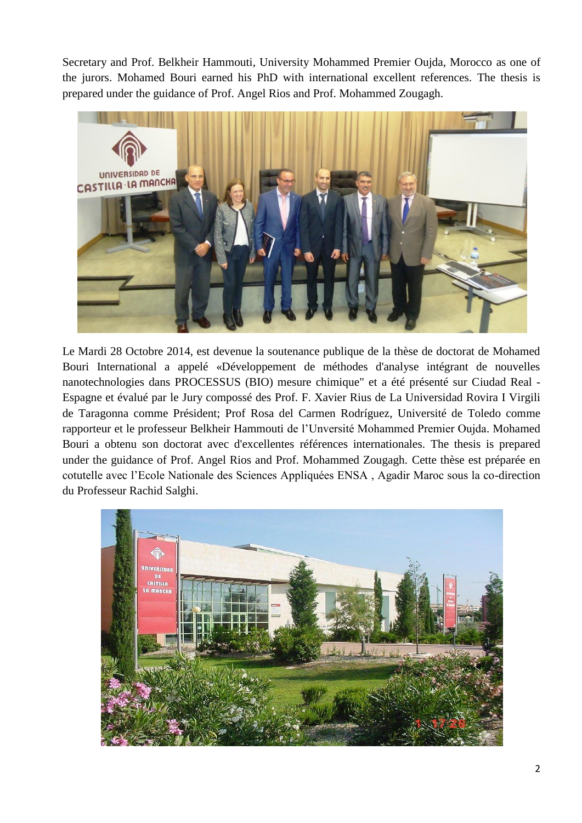Secretary and Prof. Belkheir Hammouti, University Mohammed Premier Oujda, Morocco as one of the jurors. Mohamed Bouri earned his PhD with international excellent references. The thesis is prepared under the guidance of Prof. Angel Rios and Prof. Mohammed Zougagh.



Le Mardi 28 Octobre 2014, est devenue la soutenance publique de la thèse de doctorat de Mohamed Bouri International a appelé «Développement de méthodes d'analyse intégrant de nouvelles nanotechnologies dans PROCESSUS (BIO) mesure chimique" et a été présenté sur Ciudad Real - Espagne et évalué par le Jury compossé des Prof. F. Xavier Rius de La Universidad Rovira I Virgili de Taragonna comme Président; Prof Rosa del Carmen Rodríguez, Université de Toledo comme rapporteur et le professeur Belkheir Hammouti de l'Unversité Mohammed Premier Oujda. Mohamed Bouri a obtenu son doctorat avec d'excellentes références internationales. The thesis is prepared under the guidance of Prof. Angel Rios and Prof. Mohammed Zougagh. Cette thèse est préparée en cotutelle avec l'Ecole Nationale des Sciences Appliquées ENSA , Agadir Maroc sous la co-direction du Professeur Rachid Salghi.